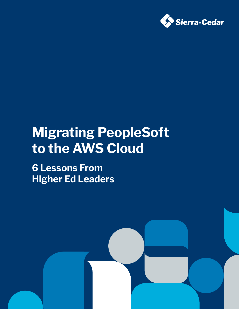

# **Migrating PeopleSoft to the AWS Cloud**

**6 Lessons From Higher Ed Leaders**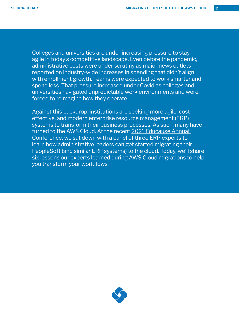Colleges and universities are under increasing pressure to stay agile in today's competitive landscape. Even before the pandemic, administrative cost[s were under scrutiny](https://www.forbes.com/sites/carolinesimon/2017/09/05/bureaucrats-and-buildings-the-case-for-why-college-is-so-expensive/?sh=4be12b5a456a) as major news outlets reported on industry-wide increases in spending that didn't align with enrollment growth. Teams were expected to work smarter and spend less. That pressure increased under Covid as colleges and universities navigated unpredictable work environments and were forced to reimagine how they operate.

Against this backdrop, institutions are seeking more agile, costeffective, and modern enterprise resource management (ERP) systems to transform their business processes. As such, many have turned to the AWS Cloud. At the recent [2021 Educause Annual](https://events.educause.edu/annual-conference)  [Conference,](https://events.educause.edu/annual-conference) we sat down with [a panel of three ERP experts](https://events.educause.edu/annual-conference/2021/agenda/transforming-erp-infrastructure-to-the-cloudviewpoints-from-women-leaders-in-technology) to learn how administrative leaders can get started migrating their PeopleSoft (and similar ERP systems) to the cloud. Today, we'll share six lessons our experts learned during AWS Cloud migrations to help you transform your workflows.

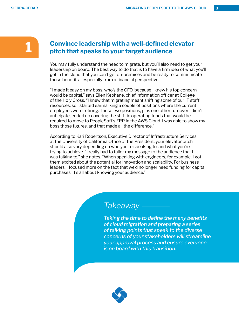## **1 Convince leadership with a well-defined elevator pitch that speaks to your target audience**

You may fully understand the need to migrate, but you'll also need to get your leadership on board. The best way to do that is to have a firm idea of what you'll get in the cloud that you can't get on-premises and be ready to communicate those benefits—especially from a financial perspective.

"I made it easy on my boss, who's the CFO, because I knew his top concern would be capital," says Ellen Keohane, chief information officer at College of the Holy Cross. "I knew that migrating meant shifting some of our IT staff resources, so I started earmarking a couple of positions where the current employees were retiring. Those two positions, plus one other turnover I didn't anticipate, ended up covering the shift in operating funds that would be required to move to PeopleSoft's ERP in the AWS Cloud. I was able to show my boss those figures, and that made all the difference."

According to Kari Robertson, Executive Director of Infrastructure Services at the University of California Office of the President, your elevator pitch should also vary depending on who you're speaking to, and what you're trying to achieve. "I really had to tailor my message to the audience that I was talking to," she notes. "When speaking with engineers, for example, I got them excited about the potential for innovation and scalability. For business leaders, I focused more on the fact that we'd no longer need funding for capital purchases. It's all about knowing your audience."

# *Takeaway*

*Taking the time to define the many benefits of cloud migration and preparing a series of talking points that speak to the diverse concerns of your stakeholders will streamline your approval process and ensure everyone is on board with this transition.*

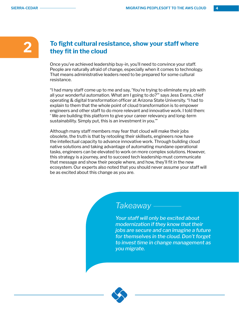#### **2 To fight cultural resistance, show your staff where they fit in the cloud**

Once you've achieved leadership buy-in, you'll need to convince your staff. People are naturally afraid of change, especially when it comes to technology. That means administrative leaders need to be prepared for some cultural resistance.

"I had many staff come up to me and say, 'You're trying to eliminate my job with all your wonderful automation. What am I going to do?'" says Jess Evans, chief operating & digital transformation officer at Arizona State University. "I had to explain to them that the whole point of cloud transformation is to empower engineers and other staff to do more relevant and innovative work. I told them: ' We are building this platform to give your career relevancy and long-term sustainability. Simply put, this is an investment in you.'"

Although many staff members may fear that cloud will make their jobs obsolete, the truth is that by retooling their skillsets, engineers now have the intellectual capacity to advance innovative work. Through building cloud native solutions and taking advantage of automating mundane operational tasks, engineers can be elevated to work on more complex solutions. However, this strategy is a journey, and to succeed tech leadership must communicate that message and show their people where, and how, they'll fit in the new ecosystem. Our experts also noted that you should never assume your staff will be as excited about this change as you are.

## *Takeaway*

*Your staff will only be excited about modernization if they know that their jobs are secure and can imagine a future for themselves in the cloud. Don't forget to invest time in change management as you migrate.*

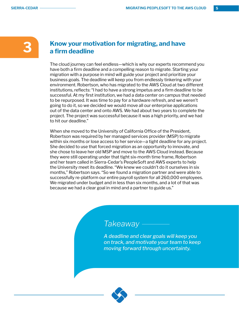#### **3 Know your motivation for migrating, and have a firm deadline**

The cloud journey can feel endless—which is why our experts recommend you have both a firm deadline and a compelling reason to migrate. Starting your migration with a purpose in mind will guide your project and prioritize your business goals. The deadline will keep you from endlessly tinkering with your environment. Robertson, who has migrated to the AWS Cloud at two different institutions, reflects: "I had to have a strong impetus and a firm deadline to be successful. At my first institution, we had a data center on campus that needed to be repurposed. It was time to pay for a hardware refresh, and we weren't going to do it, so we decided we would move all our enterprise applications out of the data center and onto AWS. We had about two years to complete the project. The project was successful because it was a high priority, and we had to hit our deadline."

When she moved to the University of California Office of the President, Robertson was required by her managed services provider (MSP) to migrate within six months or lose access to her service—a tight deadline for any project. She decided to use that forced migration as an opportunity to innovate, and she chose to leave her old MSP and move to the AWS Cloud instead. Because they were still operating under that tight six-month time frame, Robertson and her team called in Sierra-Cedar's PeopleSoft and AWS experts to help the University meet its deadline. "We knew we couldn't do it ourselves in six months," Robertson says. "So we found a migration partner and were able to successfully re-platform our entire payroll system for all 260,000 employees. We migrated under budget and in less than six months, and a lot of that was because we had a clear goal in mind and a partner to guide us."

# *Takeaway*

*A deadline and clear goals will keep you on track, and motivate your team to keep moving forward through uncertainty.*

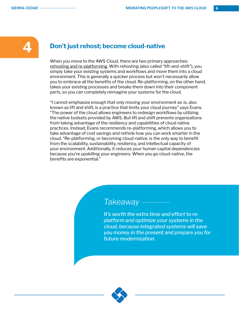#### **4 Don't just rehost; become cloud-native**

When you move to the AWS Cloud, there are two primary approaches: [rehosting and re-platforming](https://www.sierra-cedar.com/2020/08/25/aws-cloud-migration-strategy-two-models-for-making-the-transition/). With rehosting (also called "lift-and-shift"), you simply take your existing systems and workflows and move them into a cloud environment. This is generally a quicker process but won't necessarily allow you to embrace all the benefits of the cloud. Re-platforming, on the other hand, takes your existing processes and breaks them down into their component parts, so you can completely reimagine your systems for the cloud.

"I cannot emphasize enough that only moving your environment as-is, also known as lift and shift, is a practice that limits your cloud journey" says Evans. "The power of the cloud allows engineers to redesign workflows by utilizing the native toolsets provided by AWS. But lift and shift prevents organizations from taking advantage of the resiliency and capabilities of cloud native practices. Instead, Evans recommends re-platforming, which allows you to take advantage of cost savings and rethink how you can work smarter in the cloud. "Re-platforming, or becoming cloud-native, is the only way to benefit from the scalability, sustainability, resiliency, and intellectual capacity of your environment. Additionally, it reduces your human capital dependencies because you're upskilling your engineers. When you go cloud-native, the benefits are exponential."

## *Takeaway*

*It's worth the extra time and effort to replatform and optimize your systems in the cloud, because integrated systems will save you money in the present and prepare you for future modernization.* 

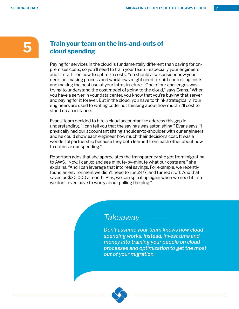## **5 Train your team on the ins-and-outs of cloud spending**

Paying for services in the cloud is fundamentally different than paying for onpremises costs, so you'll need to train your team—especially your engineers and IT staff—on how to optimize costs. You should also consider how your decision-making process and workflows might need to shift controlling costs and making the best use of your infrastructure. "One of our challenges was trying to understand the cost model of going to the cloud," says Evans. "When you have a server in your data center, you know that you're buying that server and paying for it forever. But in the cloud, you have to think strategically. Your engineers are used to writing code, not thinking about how much it'll cost to stand up an instance."

Evans' team decided to hire a cloud accountant to address this gap in understanding. "I can tell you that the savings was astonishing," Evans says. "I physically had our accountant sitting shoulder-to-shoulder with our engineers, and he could show each engineer how much their decisions cost. It was a wonderful partnership because they both learned from each other about how to optimize our spending."

Robertson adds that she appreciates the transparency she got from migrating to AWS. "Now, I can go and see minute-by-minute what our costs are," she explains. "And I can leverage that into real savings. For example, we recently found an environment we didn't need to run 24/7, and turned it off. And that saved us \$30,000 a month. Plus, we can spin it up again when we need it—so we don't even have to worry about pulling the plug."

## *Takeaway*

*Don't assume your team knows how cloud spending works. Instead, invest time and money into training your people on cloud processes and optimization to get the most out of your migration.*

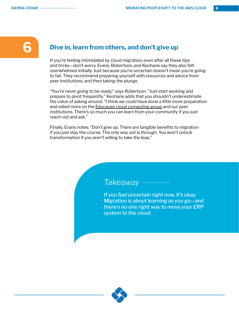#### **6 Dive in, learn from others, and don't give up**

If you're feeling intimidated by cloud migration, even after all these tips and tricks—don't worry. Evans, Robertson, and Keohane say they also felt overwhelmed initially. Just because you're uncertain doesn't mean you're going to fail. They recommend preparing yourself with resources and advice from peer institutions, and then taking the plunge.

"You're never going to be ready," says Robertson. "Just start working and prepare to pivot frequently." Keohane adds that you shouldn't underestimate the value of asking around. "I think we could have done a little more preparation and relied more on the [Educause cloud computing group](https://www.educause.edu/community/cloud-computing-community-group) and our peer institutions. There's so much you can learn from your community if you just reach out and ask."

Finally, Evans notes: "Don't give up. There are tangible benefits to migration if you just stay the course. The only way out is through. You won't unlock transformation if you aren't willing to take the leap."

# *Takeaway*

*If you feel uncertain right now, it's okay. Migration is about learning as you go—and there's no one right way to move your ERP system to the cloud.*